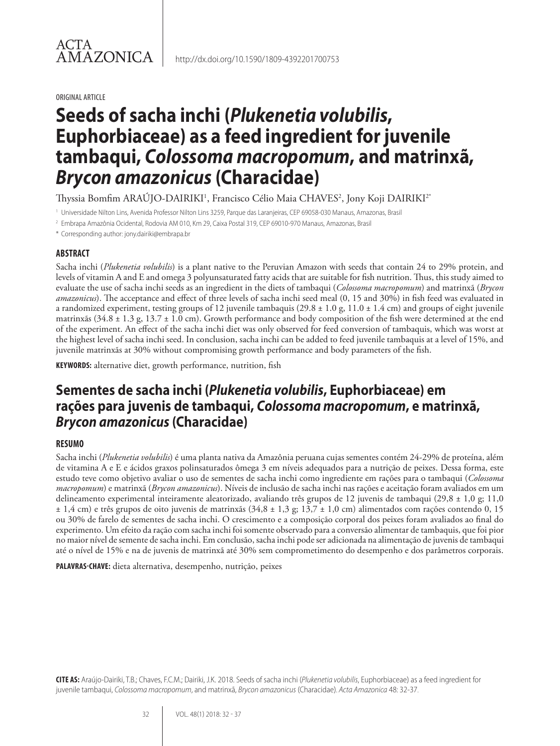#### ORIGINAL ARTICLE

ACTA

AMAZONICA

# **Seeds of sacha inchi (***Plukenetia volubilis***, Euphorbiaceae) as a feed ingredient for juvenile tambaqui,** *Colossoma macropomum***, and matrinxã,**  *Brycon amazonicus* **(Characidae)**

Thyssia Bomfim ARAŬJO-DAIRIKI', Francisco Célio Maia CHAVES<sup>2</sup>, Jony Koji DAIRIKI<sup>2</sup>'

<sup>1</sup> Universidade Nilton Lins, Avenida Professor Nilton Lins 3259, Parque das Laranjeiras, CEP 69058-030 Manaus, Amazonas, Brasil

<sup>2</sup> Embrapa Amazônia Ocidental, Rodovia AM 010, Km 29, Caixa Postal 319, CEP 69010-970 Manaus, Amazonas, Brasil

\* Corresponding author: jony.dairiki@embrapa.br

#### **ABSTRACT**

Sacha inchi (*Plukenetia volubilis*) is a plant native to the Peruvian Amazon with seeds that contain 24 to 29% protein, and levels of vitamin A and E and omega 3 polyunsaturated fatty acids that are suitable for fish nutrition. Thus, this study aimed to evaluate the use of sacha inchi seeds as an ingredient in the diets of tambaqui (*Colossoma macropomum*) and matrinxã (*Brycon amazonicus*). The acceptance and effect of three levels of sacha inchi seed meal (0, 15 and 30%) in fish feed was evaluated in a randomized experiment, testing groups of 12 juvenile tambaquis  $(29.8 \pm 1.0 \text{ g}, 11.0 \pm 1.4 \text{ cm})$  and groups of eight juvenile matrinxãs ( $34.8 \pm 1.3$  g,  $13.7 \pm 1.0$  cm). Growth performance and body composition of the fish were determined at the end of the experiment. An effect of the sacha inchi diet was only observed for feed conversion of tambaquis, which was worst at the highest level of sacha inchi seed. In conclusion, sacha inchi can be added to feed juvenile tambaquis at a level of 15%, and juvenile matrinxãs at 30% without compromising growth performance and body parameters of the fish.

**KEYWORDS:** alternative diet, growth performance, nutrition, fish

## **Sementes de sacha inchi (***Plukenetia volubilis***, Euphorbiaceae) em rações para juvenis de tambaqui,** *Colossoma macropomum***, e matrinxã,**  *Brycon amazonicus* **(Characidae)**

#### **RESUMO**

Sacha inchi (*Plukenetia volubilis*) é uma planta nativa da Amazônia peruana cujas sementes contém 24-29% de proteína, além de vitamina A e E e ácidos graxos polinsaturados ômega 3 em níveis adequados para a nutrição de peixes. Dessa forma, este estudo teve como objetivo avaliar o uso de sementes de sacha inchi como ingrediente em rações para o tambaqui (*Colossoma macropomum*) e matrinxã (*Brycon amazonicus*). Níveis de inclusão de sacha inchi nas rações e aceitação foram avaliados em um delineamento experimental inteiramente aleatorizado, avaliando três grupos de 12 juvenis de tambaqui (29,8 ± 1,0 g; 11,0 ± 1,4 cm) e três grupos de oito juvenis de matrinxãs (34,8 ± 1,3 g; 13,7 ± 1,0 cm) alimentados com rações contendo 0, 15 ou 30% de farelo de sementes de sacha inchi. O crescimento e a composição corporal dos peixes foram avaliados ao final do experimento. Um efeito da ração com sacha inchi foi somente observado para a conversão alimentar de tambaquis, que foi pior no maior nível de semente de sacha inchi. Em conclusão, sacha inchi pode ser adicionada na alimentação de juvenis de tambaqui até o nível de 15% e na de juvenis de matrinxã até 30% sem comprometimento do desempenho e dos parâmetros corporais.

**PALAVRAS-CHAVE:** dieta alternativa, desempenho, nutrição, peixes

**CITE AS:** Araújo-Dairiki, T.B.; Chaves, F.C.M.; Dairiki, J.K. 2018. Seeds of sacha inchi (*Plukenetia volubilis*, Euphorbiaceae) as a feed ingredient for juvenile tambaqui, *Colossoma macropomum*, and matrinxã, *Brycon amazonicus* (Characidae). *Acta Amazonica* 48: 32-37.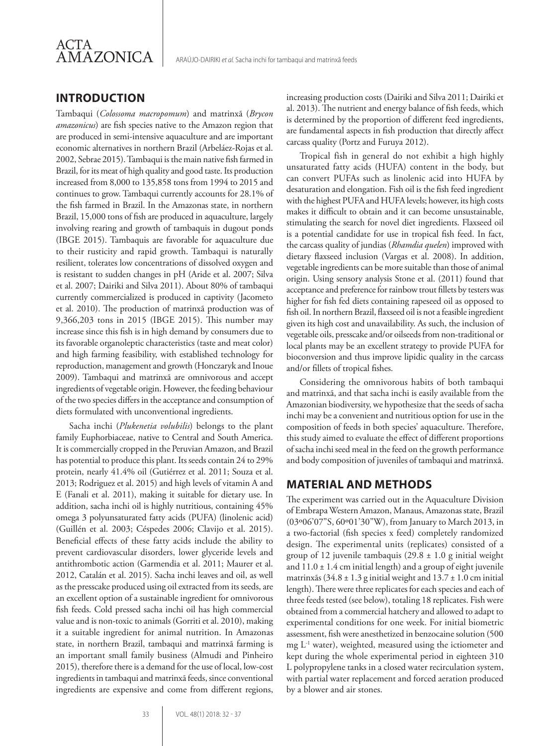

### **INTRODUCTION**

Tambaqui (*Colossoma macropomum*) and matrinxã (*Brycon amazonicus*) are fish species native to the Amazon region that are produced in semi-intensive aquaculture and are important economic alternatives in northern Brazil (Arbeláez-Rojas et al. 2002, Sebrae 2015). Tambaqui is the main native fish farmed in Brazil, for its meat of high quality and good taste. Its production increased from 8,000 to 135,858 tons from 1994 to 2015 and continues to grow. Tambaqui currently accounts for 28.1% of the fish farmed in Brazil. In the Amazonas state, in northern Brazil, 15,000 tons of fish are produced in aquaculture, largely involving rearing and growth of tambaquis in dugout ponds (IBGE 2015). Tambaquis are favorable for aquaculture due to their rusticity and rapid growth. Tambaqui is naturally resilient, tolerates low concentrations of dissolved oxygen and is resistant to sudden changes in pH (Aride et al. 2007; Silva et al. 2007; Dairiki and Silva 2011). About 80% of tambaqui currently commercialized is produced in captivity (Jacometo et al. 2010). The production of matrinxã production was of 9,366,203 tons in 2015 (IBGE 2015). This number may increase since this fish is in high demand by consumers due to its favorable organoleptic characteristics (taste and meat color) and high farming feasibility, with established technology for reproduction, management and growth (Honczaryk and Inoue 2009). Tambaqui and matrinxã are omnivorous and accept ingredients of vegetable origin. However, the feeding behaviour of the two species differs in the acceptance and consumption of diets formulated with unconventional ingredients.

Sacha inchi (*Plukenetia volubilis*) belongs to the plant family Euphorbiaceae, native to Central and South America. It is commercially cropped in the Peruvian Amazon, and Brazil has potential to produce this plant. Its seeds contain 24 to 29% protein, nearly 41.4% oil (Gutiérrez et al. 2011; Souza et al. 2013; Rodriguez et al. 2015) and high levels of vitamin A and E (Fanali et al. 2011), making it suitable for dietary use. In addition, sacha inchi oil is highly nutritious, containing 45% omega 3 polyunsaturated fatty acids (PUFA) (linolenic acid) (Guillén et al. 2003; Céspedes 2006; Clavijo et al. 2015). Beneficial effects of these fatty acids include the ability to prevent cardiovascular disorders, lower glyceride levels and antithrombotic action (Garmendia et al. 2011; Maurer et al. 2012, Catalán et al. 2015). Sacha inchi leaves and oil, as well as the presscake produced using oil extracted from its seeds, are an excellent option of a sustainable ingredient for omnivorous fish feeds. Cold pressed sacha inchi oil has high commercial value and is non-toxic to animals (Gorriti et al. 2010), making it a suitable ingredient for animal nutrition. In Amazonas state, in northern Brazil, tambaqui and matrinxã farming is an important small family business (Almudi and Pinheiro 2015), therefore there is a demand for the use of local, low-cost ingredients in tambaqui and matrinxã feeds, since conventional ingredients are expensive and come from different regions, increasing production costs (Dairiki and Silva 2011; Dairiki et al. 2013). The nutrient and energy balance of fish feeds, which is determined by the proportion of different feed ingredients, are fundamental aspects in fish production that directly affect carcass quality (Portz and Furuya 2012).

Tropical fish in general do not exhibit a high highly unsaturated fatty acids (HUFA) content in the body, but can convert PUFAs such as linolenic acid into HUFA by desaturation and elongation. Fish oil is the fish feed ingredient with the highest PUFA and HUFA levels; however, its high costs makes it difficult to obtain and it can become unsustainable, stimulating the search for novel diet ingredients. Flaxseed oil is a potential candidate for use in tropical fish feed. In fact, the carcass quality of jundias (*Rhamdia quelen*) improved with dietary flaxseed inclusion (Vargas et al. 2008). In addition, vegetable ingredients can be more suitable than those of animal origin. Using sensory analysis Stone et al. (2011) found that acceptance and preference for rainbow trout fillets by testers was higher for fish fed diets containing rapeseed oil as opposed to fish oil. In northern Brazil, flaxseed oil is not a feasible ingredient given its high cost and unavailability. As such, the inclusion of vegetable oils, presscake and/or oilseeds from non-traditional or local plants may be an excellent strategy to provide PUFA for bioconversion and thus improve lipidic quality in the carcass and/or fillets of tropical fishes.

Considering the omnivorous habits of both tambaqui and matrinxã, and that sacha inchi is easily available from the Amazonian biodiversity, we hypothesize that the seeds of sacha inchi may be a convenient and nutritious option for use in the composition of feeds in both species' aquaculture. Therefore, this study aimed to evaluate the effect of different proportions of sacha inchi seed meal in the feed on the growth performance and body composition of juveniles of tambaqui and matrinxã.

#### **MATERIAL AND METHODS**

The experiment was carried out in the Aquaculture Division of Embrapa Western Amazon, Manaus, Amazonas state, Brazil (03º06'07"S, 60º01'30"W), from January to March 2013, in a two-factorial (fish species x feed) completely randomized design. The experimental units (replicates) consisted of a group of 12 juvenile tambaquis  $(29.8 \pm 1.0 \text{ g}$  initial weight and  $11.0 \pm 1.4$  cm initial length) and a group of eight juvenile matrinxãs (34.8  $\pm$  1.3 g initial weight and 13.7  $\pm$  1.0 cm initial length). There were three replicates for each species and each of three feeds tested (see below), totaling 18 replicates. Fish were obtained from a commercial hatchery and allowed to adapt to experimental conditions for one week. For initial biometric assessment, fish were anesthetized in benzocaine solution (500 mg L-1 water), weighted, measured using the ictiometer and kept during the whole experimental period in eighteen 310 L polypropylene tanks in a closed water recirculation system, with partial water replacement and forced aeration produced by a blower and air stones.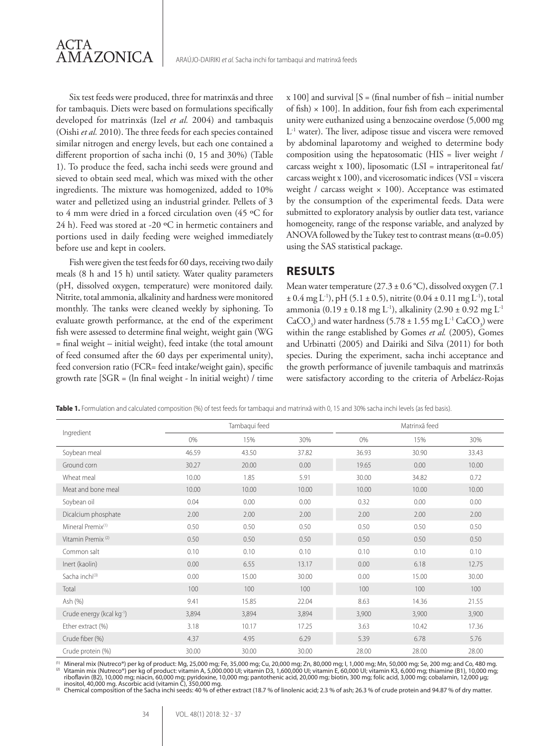

Six test feeds were produced, three for matrinxãs and three for tambaquis. Diets were based on formulations specifically developed for matrinxãs (Izel *et al.* 2004) and tambaquis (Oishi *et al.* 2010). The three feeds for each species contained similar nitrogen and energy levels, but each one contained a different proportion of sacha inchi (0, 15 and 30%) (Table 1). To produce the feed, sacha inchi seeds were ground and sieved to obtain seed meal, which was mixed with the other ingredients. The mixture was homogenized, added to 10% water and pelletized using an industrial grinder. Pellets of 3 to 4 mm were dried in a forced circulation oven (45 ºC for 24 h). Feed was stored at -20 ºC in hermetic containers and portions used in daily feeding were weighed immediately before use and kept in coolers.

Fish were given the test feeds for 60 days, receiving two daily meals (8 h and 15 h) until satiety. Water quality parameters (pH, dissolved oxygen, temperature) were monitored daily. Nitrite, total ammonia, alkalinity and hardness were monitored monthly. The tanks were cleaned weekly by siphoning. To evaluate growth performance, at the end of the experiment fish were assessed to determine final weight, weight gain (WG = final weight – initial weight), feed intake (the total amount of feed consumed after the 60 days per experimental unity), feed conversion ratio (FCR= feed intake/weight gain), specific growth rate [SGR = (ln final weight - ln initial weight) / time  $x 100$ ] and survival  $[S = (final number of fish - initial number$ of fish)  $\times$  100]. In addition, four fish from each experimental unity were euthanized using a benzocaine overdose (5,000 mg L-1 water). The liver, adipose tissue and viscera were removed by abdominal laparotomy and weighed to determine body composition using the hepatosomatic (HIS = liver weight / carcass weight x 100), liposomatic (LSI = intraperitoneal fat/ carcass weight x 100), and vicerosomatic indices (VSI = viscera weight / carcass weight  $\times$  100). Acceptance was estimated by the consumption of the experimental feeds. Data were submitted to exploratory analysis by outlier data test, variance homogeneity, range of the response variable, and analyzed by ANOVA followed by the Tukey test to contrast means  $(\alpha=0.05)$ using the SAS statistical package.

#### **RESULTS**

Mean water temperature (27.3 ± 0.6 °C), dissolved oxygen (7.1)  $\pm$  0.4 mg L<sup>-1</sup>), pH (5.1  $\pm$  0.5), nitrite (0.04  $\pm$  0.11 mg L<sup>-1</sup>), total ammonia (0.19 ± 0.18 mg L<sup>-1</sup>), alkalinity (2.90 ± 0.92 mg L<sup>-1</sup> CaCO<sub>3</sub>) and water hardness (5.78  $\pm$  1.55 mg L<sup>-1</sup> CaCO<sub>3</sub>) were within the range established by Gomes *et al.* (2005), Gomes and Urbinatti (2005) and Dairiki and Silva (2011) for both species. During the experiment, sacha inchi acceptance and the growth performance of juvenile tambaquis and matrinxãs were satisfactory according to the criteria of Arbeláez-Rojas

**Table 1.** Formulation and calculated composition (%) of test feeds for tambaqui and matrinxã with 0, 15 and 30% sacha inchi levels (as fed basis).

| Ingredient                            | Tambaqui feed |       |       | Matrinxã feed |       |       |
|---------------------------------------|---------------|-------|-------|---------------|-------|-------|
|                                       | 0%            | 15%   | 30%   | 0%            | 15%   | 30%   |
| Soybean meal                          | 46.59         | 43.50 | 37.82 | 36.93         | 30.90 | 33.43 |
| Ground corn                           | 30.27         | 20.00 | 0.00  | 19.65         | 0.00  | 10.00 |
| Wheat meal                            | 10.00         | 1.85  | 5.91  | 30.00         | 34.82 | 0.72  |
| Meat and bone meal                    | 10.00         | 10.00 | 10.00 | 10.00         | 10.00 | 10.00 |
| Soybean oil                           | 0.04          | 0.00  | 0.00  | 0.32          | 0.00  | 0.00  |
| Dicalcium phosphate                   | 2.00          | 2.00  | 2.00  | 2.00          | 2.00  | 2.00  |
| Mineral Premix <sup>(1)</sup>         | 0.50          | 0.50  | 0.50  | 0.50          | 0.50  | 0.50  |
| Vitamin Premix <sup>(2)</sup>         | 0.50          | 0.50  | 0.50  | 0.50          | 0.50  | 0.50  |
| Common salt                           | 0.10          | 0.10  | 0.10  | 0.10          | 0.10  | 0.10  |
| Inert (kaolin)                        | 0.00          | 6.55  | 13.17 | 0.00          | 6.18  | 12.75 |
| Sacha inchi <sup>(3)</sup>            | 0.00          | 15.00 | 30.00 | 0.00          | 15.00 | 30.00 |
| Total                                 | 100           | 100   | 100   | 100           | 100   | 100   |
| Ash (%)                               | 9.41          | 15.85 | 22.04 | 8.63          | 14.36 | 21.55 |
| Crude energy (kcal kg <sup>-1</sup> ) | 3,894         | 3,894 | 3,894 | 3,900         | 3,900 | 3,900 |
| Ether extract (%)                     | 3.18          | 10.17 | 17.25 | 3.63          | 10.42 | 17.36 |
| Crude fiber (%)                       | 4.37          | 4.95  | 6.29  | 5.39          | 6.78  | 5.76  |
| Crude protein (%)                     | 30.00         | 30.00 | 30.00 | 28.00         | 28.00 | 28.00 |

<sup>(1)</sup> Mineral mix (Nutreco®) per kg of product: Mg, 25,000 mg; Fe, 35,000 mg; Cu, 20,000 mg; Zn, 80,000 mg; l, 1,000 mg; Mn, 50,000 mg; Se, 200 mg; and Co, 480 mg.<br><sup>(2)</sup> Vitamin mix (Nutreco®) per kg of product: vitamin A, riboflavin (B2), 10,000 mg; niacin, 60,000 mg; pyridoxine, 10,000 mg; pantothenic acid, 20,000 mg; biotin, 300 mg; folic acid, 3,000 mg; cobalamin, 12,000 μg;

inositol, 40,000 mg. Ascorbic acid (vitamin C), 350,000 mg. (3) Chemical composition of the Sacha inchi seeds: 40 % of ether extract (18.7 % of linolenic acid; 2.3 % of ash; 26.3 % of crude protein and 94.87 % of dry matter.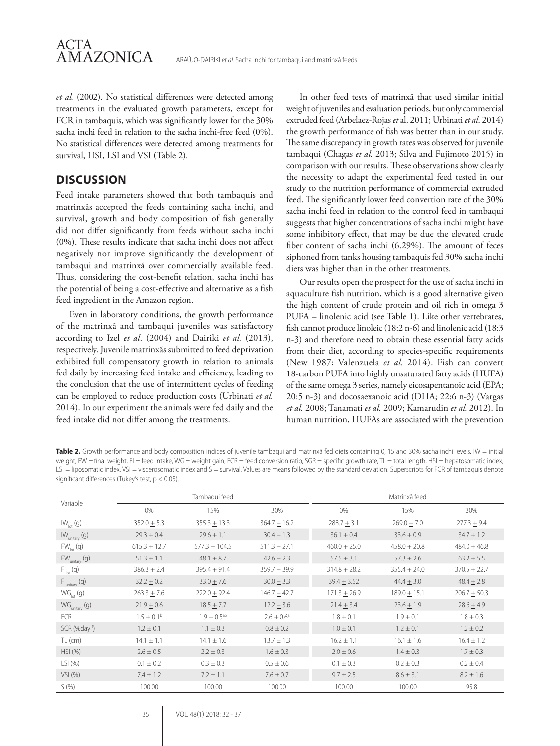

*et al.* (2002). No statistical differences were detected among treatments in the evaluated growth parameters, except for FCR in tambaquis, which was significantly lower for the 30% sacha inchi feed in relation to the sacha inchi-free feed (0%). No statistical differences were detected among treatments for survival, HSI, LSI and VSI (Table 2).

#### **DISCUSSION**

Feed intake parameters showed that both tambaquis and matrinxãs accepted the feeds containing sacha inchi, and survival, growth and body composition of fish generally did not differ significantly from feeds without sacha inchi (0%). These results indicate that sacha inchi does not affect negatively nor improve significantly the development of tambaqui and matrinxã over commercially available feed. Thus, considering the cost-benefit relation, sacha inchi has the potential of being a cost-effective and alternative as a fish feed ingredient in the Amazon region.

Even in laboratory conditions, the growth performance of the matrinxã and tambaqui juveniles was satisfactory according to Izel *et al*. (2004) and Dairiki *et al.* (2013), respectively. Juvenile matrinxãs submitted to feed deprivation exhibited full compensatory growth in relation to animals fed daily by increasing feed intake and efficiency, leading to the conclusion that the use of intermittent cycles of feeding can be employed to reduce production costs (Urbinati *et al.*  2014). In our experiment the animals were fed daily and the feed intake did not differ among the treatments.

In other feed tests of matrinxã that used similar initial weight of juveniles and evaluation periods, but only commercial extruded feed (Arbelaez-Rojas *et* al. 2011; Urbinati *et al*. 2014) the growth performance of fish was better than in our study. The same discrepancy in growth rates was observed for juvenile tambaqui (Chagas *et al.* 2013; Silva and Fujimoto 2015) in comparison with our results. These observations show clearly the necessity to adapt the experimental feed tested in our study to the nutrition performance of commercial extruded feed. The significantly lower feed convertion rate of the 30% sacha inchi feed in relation to the control feed in tambaqui suggests that higher concentrations of sacha inchi might have some inhibitory effect, that may be due the elevated crude fiber content of sacha inchi (6.29%). The amount of feces siphoned from tanks housing tambaquis fed 30% sacha inchi diets was higher than in the other treatments.

Our results open the prospect for the use of sacha inchi in aquaculture fish nutrition, which is a good alternative given the high content of crude protein and oil rich in omega 3 PUFA – linolenic acid (see Table 1). Like other vertebrates, fish cannot produce linoleic (18:2 n-6) and linolenic acid (18:3 n-3) and therefore need to obtain these essential fatty acids from their diet, according to species-specific requirements (New 1987; Valenzuela *et al.* 2014). Fish can convert 18-carbon PUFA into highly unsaturated fatty acids (HUFA) of the same omega 3 series, namely eicosapentanoic acid (EPA; 20:5 n-3) and docosaexanoic acid (DHA; 22:6 n-3) (Vargas *et al.* 2008; Tanamati *et al.* 2009; Kamarudin *et al.* 2012). In human nutrition, HUFAs are associated with the prevention

**Table 2.** Growth performance and body composition indices of juvenile tambaqui and matrinxã fed diets containing 0, 15 and 30% sacha inchi levels. IW = initial weight, FW = final weight, FI = feed intake, WG = weight gain, FCR = feed conversion ratio, SGR = specific growth rate, TL = total length, HSI = hepatosomatic index, LSI = liposomatic index, VSI = viscerosomatic index and S = survival. Values are means followed by the standard deviation. Superscripts for FCR of tambaquis denote significant differences (Tukey's test, p < 0.05).

| Variable                    | Tambaqui feed         |                    |                  | Matrinxã feed    |                |                  |  |
|-----------------------------|-----------------------|--------------------|------------------|------------------|----------------|------------------|--|
|                             | $0\%$                 | 15%                | 30%              | 0%               | 15%            | 30%              |  |
| $IW_{\text{tot}}(g)$        | $352.0 \pm 5.3$       | $355.3 \pm 13.3$   | $364.7 + 16.2$   | $288.7 + 3.1$    | $269.0 + 7.0$  | $277.3 \pm 9.4$  |  |
| $IW_{unitary}$ (g)          | $29.3 + 0.4$          | $29.6 + 1.1$       | $30.4 + 1.3$     | $36.1 + 0.4$     | $33.6 + 0.9$   | $34.7 + 1.2$     |  |
| $FW_{\text{tot}}(q)$        | $615.3 \pm 12.7$      | $577.3 \pm 104.5$  | $511.3 \pm 27.1$ | $460.0 \pm 25.0$ | $458.0 + 20.8$ | $484.0 + 46.8$   |  |
| FW <sub>unitary</sub> (g)   | $51.3 \pm 1.1$        | 48.1 $\pm$ 8.7     | $42.6 + 2.3$     | $57.5 \pm 3.1$   | $57.3 \pm 2.6$ | $63.2 \pm 5.5$   |  |
| $FI_{\text{tot}}(q)$        | $386.3 \pm 2.4$       | $395.4 + 91.4$     | $359.7 + 39.9$   | $314.8 \pm 28.2$ | $355.4 + 24.0$ | $370.5 \pm 22.7$ |  |
| $FI_{unitary}$ (g)          | $32.2 + 0.2$          | $33.0 \pm 7.6$     | $30.0 + 3.3$     | $39.4 + 3.52$    | $44.4 + 3.0$   | $48.4 + 2.8$     |  |
| $WG_{int}(g)$               | $263.3 \pm 7.6$       | $222.0 \pm 92.4$   | $146.7 + 42.7$   | $171.3 \pm 26.9$ | $189.0 + 15.1$ | $206.7 + 50.3$   |  |
| $WG_{unitary}(g)$           | $21.9 \pm 0.6$        | $18.5 \pm 7.7$     | $12.2 + 3.6$     | $21.4 \pm 3.4$   | $23.6 \pm 1.9$ | $28.6 + 4.9$     |  |
| FCR                         | $1.5 \pm 0.1^{\circ}$ | $1.9 \pm 0.5^{ab}$ | $2.6 + 0.6^a$    | $1.8 \pm 0.1$    | $1.9 + 0.1$    | $1.8 \pm 0.3$    |  |
| $SCR$ (%day <sup>-1</sup> ) | $1.2 \pm 0.1$         | $1.1 \pm 0.3$      | $0.8 \pm 0.2$    | $1.0 \pm 0.1$    | $1.2 \pm 0.1$  | $1.2 \pm 0.2$    |  |
| $TL$ (cm)                   | $14.1 \pm 1.1$        | $14.1 \pm 1.6$     | $13.7 \pm 1.3$   | $16.2 \pm 1.1$   | $16.1 \pm 1.6$ | $16.4 \pm 1.2$   |  |
| HSI(%)                      | $2.6 \pm 0.5$         | $2.2 \pm 0.3$      | $1.6 \pm 0.3$    | $2.0 \pm 0.6$    | $1.4 \pm 0.3$  | $1.7 \pm 0.3$    |  |
| LSI(%)                      | $0.1 \pm 0.2$         | $0.3 \pm 0.3$      | $0.5 \pm 0.6$    | $0.1 \pm 0.3$    | $0.2 \pm 0.3$  | $0.2 \pm 0.4$    |  |
| VSI(%)                      | $7.4 \pm 1.2$         | $7.2 \pm 1.1$      | $7.6 \pm 0.7$    | $9.7 \pm 2.5$    | $8.6 \pm 3.1$  | $8.2 \pm 1.6$    |  |
| S(96)                       | 100.00                | 100.00             | 100.00           | 100.00           | 100.00         | 95.8             |  |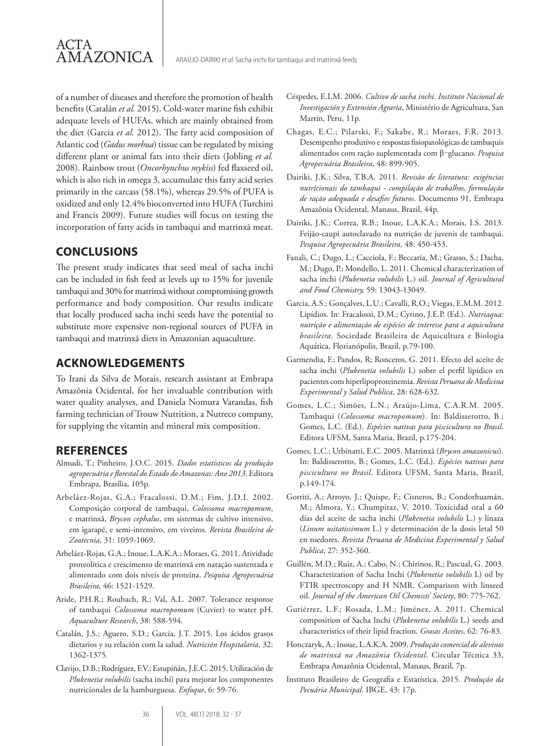of a number of diseases and therefore the promotion of health benefits (Catalán *et al.* 2015). Cold-water marine fish exhibit adequate levels of HUFAs, which are mainly obtained from the diet (Garcia *et al.* 2012). The fatty acid composition of Atlantic cod (*Gadus morhua*) tissue can be regulated by mixing different plant or animal fats into their diets (Jobling *et al.* 2008). Rainbow trout (*Oncorhynchus mykiss*) fed flaxseed oil, which is also rich in omega 3, accumulate this fatty acid series primarily in the carcass (58.1%), whereas 29.5% of PUFA is oxidized and only 12.4% bioconverted into HUFA (Turchini and Francis 2009). Future studies will focus on testing the incorporation of fatty acids in tambaqui and matrinxã meat.

#### **CONCLUSIONS**

ACTA

AMAZONICA

The present study indicates that seed meal of sacha inchi can be included in fish feed at levels up to 15% for juvenile tambaqui and 30% for matrinxã without compromising growth performance and body composition. Our results indicate that locally produced sacha inchi seeds have the potential to substitute more expensive non-regional sources of PUFA in tambaqui and matrinxã diets in Amazonian aquaculture.

#### **ACKNOWLEDGEMENTS**

To Irani da Silva de Morais, research assistant at Embrapa Amazônia Ocidental, for her invaluable contribution with water quality analyses, and Daniela Nomura Varandas, fish farming technician of Trouw Nutrition, a Nutreco company, for supplying the vitamin and mineral mix composition.

#### **REFERENCES**

- Almudi, T.; Pinheiro, J.O.C. 2015. *Dados estatísticos da produção agropecuária e florestal do Estado do Amazonas: Ano 2013*. Editora Embrapa, Brasília, 105p.
- Arbeláez-Rojas, G.A.; Fracalossi, D.M.; Fim, J.D.I. 2002. Composição corporal de tambaqui, *Colossoma macropomum*, e matrinxã, *Brycon cephalus*, em sistemas de cultivo intensivo, em igarapé, e semi-intensivo, em viveiros. *Revista Brasileira de Zootecnia*, 31: 1059-1069.
- Arbeláez-Rojas, G.A.; Inoue, L.A.K.A.; Moraes, G. 2011. Atividade proteolítica e crescimento de matrinxã em natação sustentada e alimentado com dois níveis de proteína. *Pesquisa Agropecuária Brasileira*, 46: 1521-1529.
- Aride, P.H.R.; Roubach, R.; Val, A.L. 2007. Tolerance response of tambaqui *Colossoma macropomum* (Cuvier) to water pH. *Aquaculture Research*, 38: 588-594.
- Catalán, J.S.; Aguero, S.D.; García, J.T. 2015. Los ácidos grasos dietarios y su relación com la salud. *Nutrición Hospitalaria*, 32: 1362-1375.
- Clavijo, D.B.; Rodríguez, F.V.; Estupiñán, J.E.C. 2015. Utilización de *Plukenetia volubilis* (sacha inchi) para mejorar los componentes nutricionales de la hamburguesa. *Enfoque*, 6: 59-76.
- Céspedes, E.I.M. 2006. *Cultivo de sacha inchi. Instituto Nacional de Investigación y Extensión Agraria*, Ministério de Agricultura, San Martín, Peru, 11p.
- Chagas, E.C.; Pilarski, F.; Sakabe, R.; Moraes, F.R. 2013. Desempenho produtivo e respostas fisiopatológicas de tambaquis alimentados com ração suplementada com β‑glucano. *Pesquisa Agropecuária Brasileira*, 48: 899-905.
- Dairiki, J.K.; Silva, T.B.A. 2011. *Revisão de literatura: exigências nutricionais do tambaqui - compilação de trabalhos, formulação de ração adequada e desafios futuros*. Documento 91, Embrapa Amazônia Ocidental, Manaus, Brazil, 44p.
- Dairiki, J.K.; Correa, R.B.; Inoue, L.A.K.A.; Morais, I.S. 2013. Feijão-caupi autoclavado na nutrição de juvenis de tambaqui. *Pesquisa Agropecuária Brasileira,* 48: 450-453.
- Fanali, C.; Dugo, L.; Cacciola, F.; Beccaria, M.; Grasso, S.; Dacha, M.; Dugo, P.; Mondello, L. 2011. Chemical characterization of sacha inchi (*Plukenetia volubilis* L.) oil. *Journal of Agricultural and Food Chemistry,* 59: 13043-13049.
- Garcia, A.S.; Gonçalves, L.U.; Cavalli, R.O.; Viegas, E.M.M. 2012. Lipídios. In: Fracalossi, D.M.; Cyrino, J.E.P. (Ed.). *Nutriaqua: nutrição e alimentação de espécies de interesse para a aquicultura brasileira*. Sociedade Brasileira de Aquicultura e Biologia Aquática, Florianópolis, Brazil, p.79-100.
- Garmendia, F.; Pandos, R; Ronceros, G. 2011. Efecto del aceite de sacha inchi (*Plukenetia volubilis* L) sobre el perfil lipídico en pacientes com hiperlipoproteinemia. *Revista Peruana de Medicina Experimental y Salud Publica*, 28: 628-632.
- Gomes, L.C.; Simões, L.N.; Araújo-Lima, C.A.R.M. 2005. Tambaqui (*Colossoma macropomum*). In: Baldisserotto, B.; Gomes, L.C. (Ed.). *Espécies nativas para piscicultura no Brasil*. Editora UFSM, Santa Maria, Brazil, p.175-204.
- Gomes, L.C.; Urbinatti, E.C. 2005. Matrinxã (*Brycon amazonicus*). In: Baldisserotto, B.; Gomes, L.C. (Ed.). *Espécies nativas para piscicultura no Brasil*. Editora UFSM, Santa Maria, Brazil, p.149-174.
- Gorriti, A.; Arroyo, J.; Quispe, F.; Cisneros, B.; Condorhuamán, M.; Almora, Y.; Chumpitaz, V. 2010. Toxicidad oral a 60 días del aceite de sacha inchi (*Plukenetia volubilis* L.) y linaza (*Linum usitatissimum* L.) y determinación de la dosis letal 50 en roedores. *Revista Peruana de Medicina Experimental y Salud Publica*, 27: 352-360.
- Guillén, M.D.; Ruiz, A.; Cabo, N.; Chirinos, R.; Pascual, G. 2003. Characterization of Sacha Inchi (*Plukenetia volubilis* L) oil by FTIR spectroscopy and H NMR. Comparison with linseed oil. *Journal of the American Oil Chemists' Society*, 80: 775-762.
- Gutiérrez, L.F.; Rosada, L.M.; Jiménez, A. 2011. Chemical composition of Sacha Inchi (*Plukenetia volubilis* L.) seeds and characteristics of their lipid fraction. *Grasas Aceites*, 62: 76-83.
- Honczaryk, A.; Inoue, L.A.K.A. 2009. *Produção comercial de alevinos de matrinxã na Amazônia Ocidental*. Circular Técnica 33, Embrapa Amazônia Ocidental, Manaus, Brazil, 7p.
- Instituto Brasileiro de Geografia e Estatística. 2015. *Produção da Pecuária Municipal*. IBGE, 43: 17p.